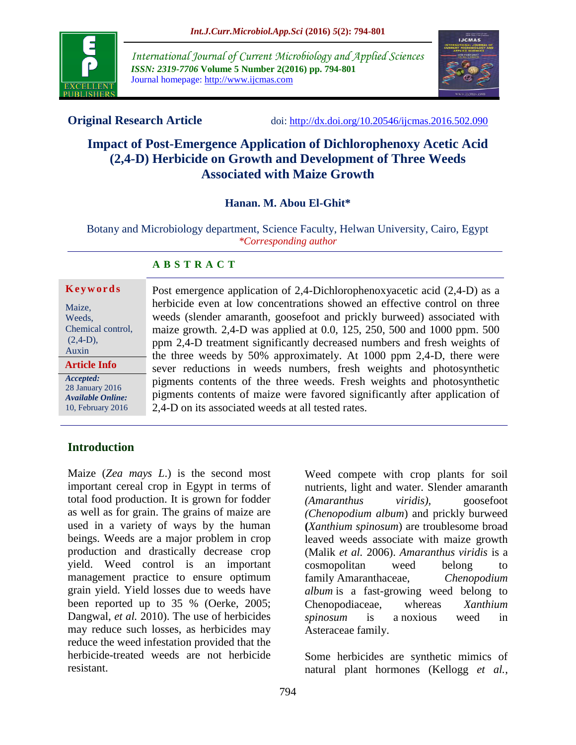

*International Journal of Current Microbiology and Applied Sciences ISSN: 2319-7706* **Volume 5 Number 2(2016) pp. 794-801** Journal homepage: http://www.ijcmas.com



**Original Research Article** doi:<http://dx.doi.org/10.20546/ijcmas.2016.502.090>

# **Impact of Post-Emergence Application of Dichlorophenoxy Acetic Acid (2,4-D) Herbicide on Growth and Development of Three Weeds Associated with Maize Growth**

## **Hanan. M. Abou El-Ghit\***

Botany and Microbiology department, Science Faculty, Helwan University, Cairo, Egypt *\*Corresponding author*

#### **A B S T R A C T**

## **K e y w o r d s**

| Maize,<br>Weeds,<br>Chemical control,                                  |
|------------------------------------------------------------------------|
| $(2,4-D)$ ,<br>Auxin                                                   |
| <b>Article Info</b>                                                    |
| Accepted:<br>28 January 2016<br>Available Online:<br>10, February 2016 |

Post emergence application of 2,4-Dichlorophenoxyacetic acid (2,4-D) as a herbicide even at low concentrations showed an effective control on three weeds (slender amaranth*,* goosefoot and prickly burweed) associated with maize growth*.* 2,4-D was applied at 0.0, 125, 250, 500 and 1000 ppm. 500 ppm 2,4-D treatment significantly decreased numbers and fresh weights of the three weeds by 50% approximately. At 1000 ppm 2,4-D, there were sever reductions in weeds numbers, fresh weights and photosynthetic pigments contents of the three weeds. Fresh weights and photosynthetic pigments contents of maize were favored significantly after application of 2,4-D on its associated weeds at all tested rates.

## **Introduction**

Maize (*Zea mays L*.) is the second most important cereal crop in Egypt in terms of total food production. It is grown for fodder as well as for grain. The grains of maize are used in a variety of ways by the human beings. Weeds are a major problem in crop production and drastically decrease crop yield. Weed control is an important management practice to ensure optimum grain yield. Yield losses due to weeds have been reported up to 35 % (Oerke, 2005; Dangwal, *et al.* 2010). The use of herbicides may reduce such losses, as herbicides may reduce the weed infestation provided that the herbicide-treated weeds are not herbicide resistant.

Weed compete with crop plants for soil nutrients, light and water. Slender amaranth *(Amaranthus viridis),* goosefoot *(Chenopodium album*) and prickly burweed **(***Xanthium spinosum*) are troublesome broad leaved weeds associate with maize growth (Malik *et al.* 2006). *Amaranthus viridis* is a cosmopolitan weed belong to family [Amaranthaceae,](http://en.wikipedia.org/wiki/Amaranthaceae) *Chenopodium album* is a fast-growing weed belong to Chenopodiaceae, whereas *Xanthium spinosum* is a [noxious weed](http://en.wikipedia.org/wiki/Noxious_weed) in [Asteraceae](http://en.wikipedia.org/wiki/Asteraceae) family.

Some herbicides are synthetic mimics of natural [plant hormones](http://en.wikipedia.org/wiki/Plant_hormone) (Kellogg *et al.*,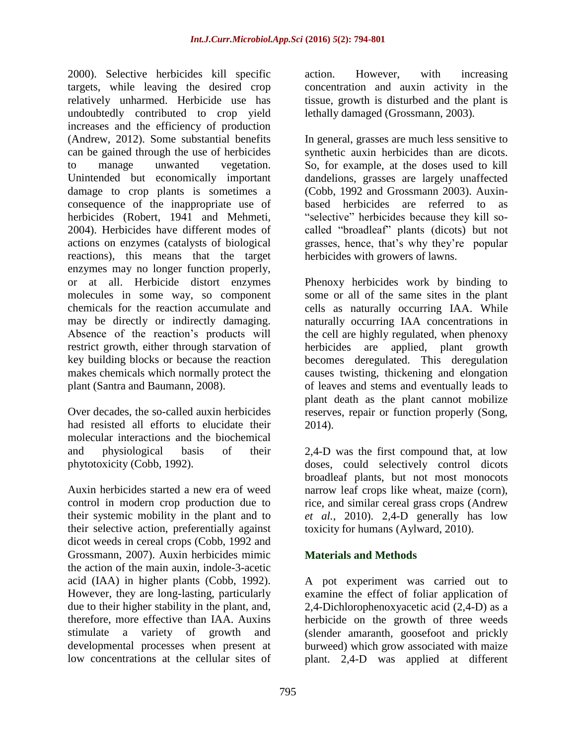2000). Selective herbicides kill specific targets, while leaving the desired [crop](http://en.wikipedia.org/wiki/Crop) relatively unharmed. Herbicide use has undoubtedly contributed to crop yield increases and the efficiency of production (Andrew, 2012). Some substantial benefits can be gained through the use of herbicides to manage unwanted vegetation. Unintended but economically important damage to crop plants is sometimes a consequence of the inappropriate use of herbicides (Robert, 1941 and Mehmeti, 2004). Herbicides have different modes of actions on enzymes (catalysts of biological reactions), this means that the target enzymes may no longer function properly, or at all. Herbicide distort enzymes molecules in some way, so component chemicals for the reaction accumulate and may be directly or indirectly damaging. Absence of the reaction's products will restrict growth, either through starvation of key building blocks or because the reaction makes chemicals which normally protect the plant (Santra and Baumann, 2008).

Over decades, the so-called auxin herbicides had resisted all efforts to elucidate their molecular interactions and the biochemical and physiological basis of their phytotoxicity (Cobb, 1992).

Auxin herbicides started a new era of weed control in modern crop production due to their systemic mobility in the plant and to their selective action, preferentially against dicot weeds in cereal crops (Cobb, 1992 and Grossmann, 2007). Auxin herbicides mimic the action of the main auxin, indole-3-acetic acid (IAA) in higher plants (Cobb, 1992). However, they are long-lasting, particularly due to their higher stability in the plant, and, therefore, more effective than IAA. Auxins stimulate a variety of growth and developmental processes when present at low concentrations at the cellular sites of

action. However, with increasing concentration and auxin activity in the tissue, growth is disturbed and the plant is lethally damaged (Grossmann, 2003).

In general, grasses are much less sensitive to synthetic auxin herbicides than are dicots. So, for example, at the doses used to kill dandelions, grasses are largely unaffected (Cobb, 1992 and Grossmann 2003). Auxinbased herbicides are referred to as "selective" herbicides because they kill socalled "broadleaf" plants [\(dicots\)](http://en.wikipedia.org/wiki/Dicotyledon) but not grasses, hence, that's why they're popular herbicides with growers of lawns.

Phenoxy herbicides work by binding to some or all of the same sites in the plant cells as naturally occurring IAA. While naturally occurring IAA concentrations in the cell are highly regulated, when phenoxy herbicides are applied, plant growth becomes deregulated. This deregulation causes twisting, thickening and elongation of leaves and stems and eventually leads to plant death as the plant cannot mobilize reserves, repair or function properly (Song, 2014).

2,4-D was the first compound that, at low doses, could selectively control [dicots](http://en.wikipedia.org/wiki/Dicots) broadleaf plants, but not most [monocots](http://en.wikipedia.org/wiki/Monocots) narrow leaf crops like [wheat,](http://en.wikipedia.org/wiki/Wheat) [maize](http://en.wikipedia.org/wiki/Maize) (corn), [rice,](http://en.wikipedia.org/wiki/Rice) and similar [cereal](http://en.wikipedia.org/wiki/Cereal) grass crops (Andrew *et al.*, 2010). 2,4-D generally has low toxicity for humans (Aylward, 2010).

## **Materials and Methods**

A pot experiment was carried out to examine the effect of foliar application of 2,4-Dichlorophenoxyacetic acid (2,4-D) as a herbicide on the growth of three weeds (slender amaranth*,* goosefoot and prickly burweed) which grow associated with maize plant. 2,4-D was applied at different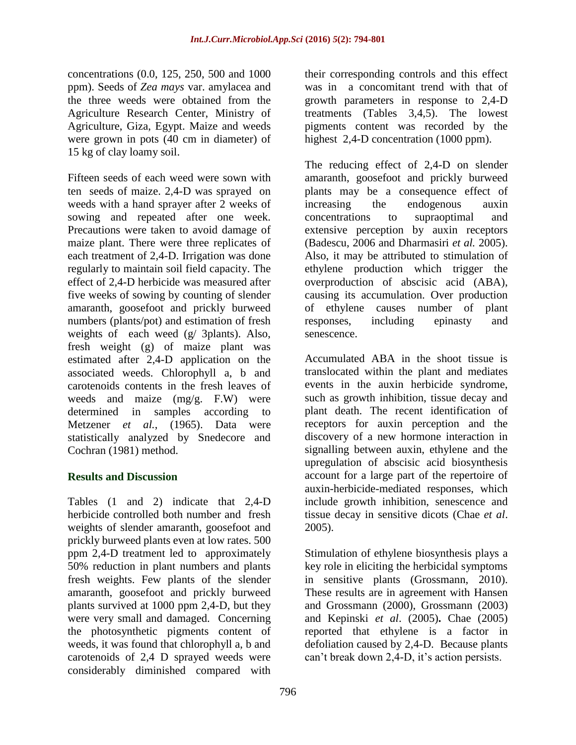concentrations (0.0, 125, 250, 500 and 1000 ppm). Seeds of *Zea mays* var. amylacea and the three weeds were obtained from the Agriculture Research Center, Ministry of Agriculture, Giza, Egypt. Maize and weeds were grown in pots (40 cm in diameter) of 15 kg of clay loamy soil.

Fifteen seeds of each weed were sown with ten seeds of maize. 2,4-D was sprayed on weeds with a hand sprayer after 2 weeks of sowing and repeated after one week. Precautions were taken to avoid damage of maize plant. There were three replicates of each treatment of 2,4-D. Irrigation was done regularly to maintain soil field capacity. The effect of 2,4-D herbicide was measured after five weeks of sowing by counting of slender amaranth, goosefoot and prickly burweed numbers (plants/pot) and estimation of fresh weights of each weed (g/ 3plants). Also, fresh weight (g) of maize plant was estimated after 2,4-D application on the associated weeds. Chlorophyll a, b and carotenoids contents in the fresh leaves of weeds and maize (mg/g. F.W) were determined in samples according to Metzener *et al.*, (1965). Data were statistically analyzed by Snedecore and Cochran (1981) method.

## **Results and Discussion**

Tables (1 and 2) indicate that 2,4-D herbicide controlled both number and fresh weights of slender amaranth, goosefoot and prickly burweed plants even at low rates. 500 ppm 2,4-D treatment led to approximately 50% reduction in plant numbers and plants fresh weights. Few plants of the slender amaranth, goosefoot and prickly burweed plants survived at 1000 ppm 2,4-D, but they were very small and damaged. Concerning the photosynthetic pigments content of weeds, it was found that chlorophyll a, b and carotenoids of 2,4 D sprayed weeds were considerably diminished compared with

their corresponding controls and this effect was in a concomitant trend with that of growth parameters in response to 2,4-D treatments (Tables 3,4,5). The lowest pigments content was recorded by the highest 2,4-D concentration (1000 ppm).

The reducing effect of 2,4-D on slender amaranth, goosefoot and prickly burweed plants may be a consequence effect of increasing the endogenous auxin concentrations to supraoptimal and extensive perception by auxin receptors (Badescu, 2006 and Dharmasiri *et al.* 2005). Also, it may be attributed to stimulation of ethylene production which trigger the overproduction of abscisic acid (ABA), causing its accumulation. Over production of ethylene causes [number of plant](http://en.wikipedia.org/wiki/Ethylene#List_of_plant_responses_to_ethylene)  [responses,](http://en.wikipedia.org/wiki/Ethylene#List_of_plant_responses_to_ethylene) including [epinasty](http://www.planthormones.info/epinasty.htm) and [senescence.](http://en.wikipedia.org/wiki/Plant_senescence)

Accumulated ABA in the shoot tissue is translocated within the plant and mediates events in the auxin herbicide syndrome, such as growth inhibition, tissue decay and plant death. The recent identification of receptors for auxin perception and the discovery of a new hormone interaction in signalling between auxin, ethylene and the upregulation of abscisic acid biosynthesis account for a large part of the repertoire of auxin-herbicide-mediated responses, which include growth inhibition, senescence and tissue decay in sensitive dicots (Chae *et al*. 2005).

Stimulation of ethylene biosynthesis plays a key role in eliciting the herbicidal symptoms in sensitive plants (Grossmann, 2010). These results are in agreement with Hansen and Grossmann (2000), Grossmann (2003) and Kepinski *et al*. (2005)**.** Chae (2005) reported that [ethylene is a factor in](http://www.sciencemag.org/cgi/content/abstract/163/3871/1067)  [defoliation caused by 2,4-D.](http://www.sciencemag.org/cgi/content/abstract/163/3871/1067) Because plants can't break down 2,4-D, it's action persists.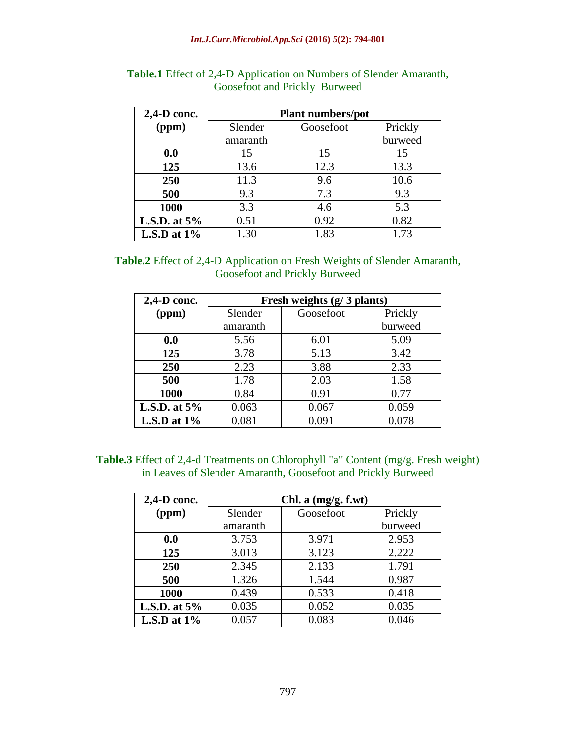| 2,4-D conc.    | <b>Plant numbers/pot</b> |           |         |
|----------------|--------------------------|-----------|---------|
| (ppm)          | Slender                  | Goosefoot | Prickly |
|                | amaranth                 |           | burweed |
| 0.0            | 15                       | 15        | 15      |
| 125            | 13.6                     | 12.3      | 13.3    |
| 250            | 11.3                     | 9.6       | 10.6    |
| 500            | 9.3                      | 7.3       | 9.3     |
| 1000           | 3.3                      | 4.6       | 5.3     |
| L.S.D. at $5%$ | 0.51                     | 0.92      | 0.82    |
| L.S.D at $1\%$ | 1.30                     | 1.83      | 1.73    |

## **Table.1** Effect of 2,4-D Application on Numbers of Slender Amaranth, Goosefoot and Prickly Burweed

## **Table.2** Effect of 2,4-D Application on Fresh Weights of Slender Amaranth, Goosefoot and Prickly Burweed

| 2,4-D conc.    | Fresh weights (g/3 plants) |           |         |
|----------------|----------------------------|-----------|---------|
| (ppm)          | Slender                    | Goosefoot | Prickly |
|                | amaranth                   |           | burweed |
| 0.0            | 5.56                       | 6.01      | 5.09    |
| 125            | 3.78                       | 5.13      | 3.42    |
| 250            | 2.23                       | 3.88      | 2.33    |
| 500            | 1.78                       | 2.03      | 1.58    |
| 1000           | 0.84                       | 0.91      | 0.77    |
| L.S.D. at $5%$ | 0.063                      | 0.067     | 0.059   |
| L.S.D at $1\%$ | 0.081                      | 0.091     | 0.078   |

## **Table.3** Effect of 2,4-d Treatments on Chlorophyll "a" Content (mg/g. Fresh weight) in Leaves of Slender Amaranth, Goosefoot and Prickly Burweed

| $2,4$ -D conc.  | Chl. a $(mg/g. f.wt)$ |           |         |
|-----------------|-----------------------|-----------|---------|
| (ppm)           | Slender               | Goosefoot | Prickly |
|                 | amaranth              |           | burweed |
| 0.0             | 3.753                 | 3.971     | 2.953   |
| 125             | 3.013                 | 3.123     | 2.222   |
| 250             | 2.345                 | 2.133     | 1.791   |
| 500             | 1.326                 | 1.544     | 0.987   |
| 1000            | 0.439                 | 0.533     | 0.418   |
| L.S.D. at $5\%$ | 0.035                 | 0.052     | 0.035   |
| L.S.D at $1\%$  | 0.057                 | 0.083     | 0.046   |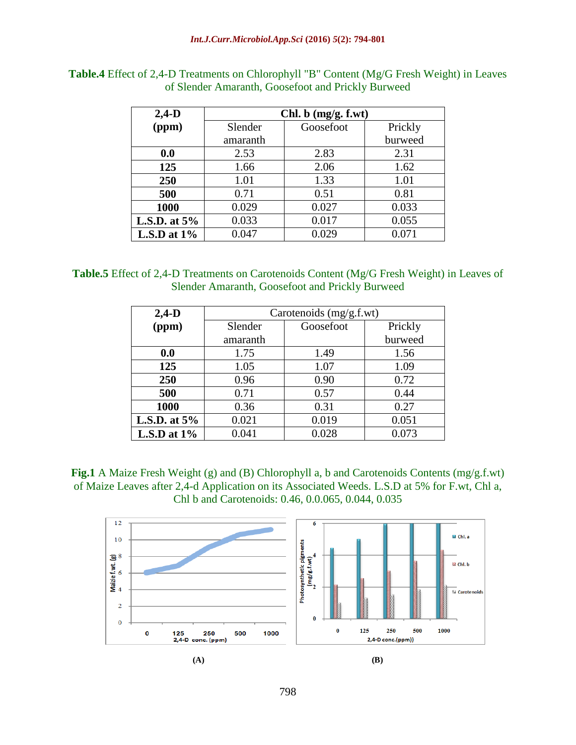| $2,4-D$         | Chl. $b$ (mg/g. f.wt) |           |         |
|-----------------|-----------------------|-----------|---------|
| (ppm)           | Slender               | Goosefoot | Prickly |
|                 | amaranth              |           | burweed |
| 0.0             | 2.53                  | 2.83      | 2.31    |
| 125             | 1.66                  | 2.06      | 1.62    |
| 250             | 1.01                  | 1.33      | 1.01    |
| 500             | 0.71                  | 0.51      | 0.81    |
| 1000            | 0.029                 | 0.027     | 0.033   |
| L.S.D. at $5\%$ | 0.033                 | 0.017     | 0.055   |
| L.S.D at $1\%$  | 0.047                 | 0.029     | 0.071   |

**Table.4** Effect of 2,4-D Treatments on Chlorophyll "B" Content (Mg/G Fresh Weight) in Leaves of Slender Amaranth, Goosefoot and Prickly Burweed

#### **Table.5** Effect of 2,4-D Treatments on Carotenoids Content (Mg/G Fresh Weight) in Leaves of Slender Amaranth, Goosefoot and Prickly Burweed

| $2,4-D$         | Carotenoids (mg/g.f.wt) |           |         |
|-----------------|-------------------------|-----------|---------|
| (ppm)           | Slender                 | Goosefoot | Prickly |
|                 | amaranth                |           | burweed |
| 0.0             | 1.75                    | 1.49      | 1.56    |
| 125             | 1.05                    | 1.07      | 1.09    |
| 250             | 0.96                    | 0.90      | 0.72    |
| 500             | 0.71                    | 0.57      | 0.44    |
| 1000            | 0.36                    | 0.31      | 0.27    |
| L.S.D. at $5\%$ | 0.021                   | 0.019     | 0.051   |
| L.S.D at $1\%$  | 0.041                   | 0.028     | 0.073   |

**Fig.1** A Maize Fresh Weight (g) and (B) Chlorophyll a, b and Carotenoids Contents (mg/g.f.wt) of Maize Leaves after 2,4-d Application on its Associated Weeds. L.S.D at 5% for F.wt, Chl a, Chl b and Carotenoids: 0.46, 0.0.065, 0.044, 0.035

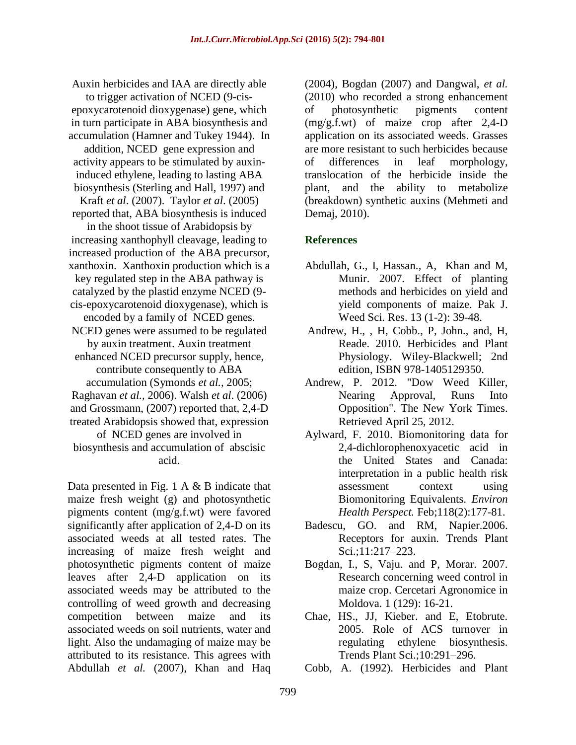Auxin herbicides and IAA are directly able to trigger activation of NCED (9*-*cisepoxycarotenoid dioxygenase) gene, which in turn participate in ABA biosynthesis and accumulation (Hamner and Tukey 1944). In addition, NCED gene expression and activity appears to be stimulated by auxininduced ethylene, leading to lasting ABA biosynthesis (Sterling and Hall, 1997) and Kraft *et al*. (2007). Taylor *et al*. (2005) reported that, ABA biosynthesis is induced in the shoot tissue of Arabidopsis by increasing xanthophyll cleavage, leading to increased production of the ABA precursor, xanthoxin. Xanthoxin production which is a key regulated step in the ABA pathway is catalyzed by the plastid enzyme NCED (9 cis-epoxycarotenoid dioxygenase), which is encoded by a family of NCED genes. NCED genes were assumed to be regulated by auxin treatment. Auxin treatment enhanced NCED precursor supply, hence, contribute consequently to ABA accumulation (Symonds *et al.,* 2005; Raghavan *et al.,* 2006). Walsh *et al*. (2006) and Grossmann, (2007) reported that, 2,4-D treated Arabidopsis showed that, expression of NCED genes are involved in

biosynthesis and accumulation of abscisic acid.

Data presented in Fig. 1 A & B indicate that maize fresh weight (g) and photosynthetic pigments content (mg/g.f.wt) were favored significantly after application of 2,4-D on its associated weeds at all tested rates. The increasing of maize fresh weight and photosynthetic pigments content of maize leaves after 2,4-D application on its associated weeds may be attributed to the controlling of weed growth and decreasing competition between maize and its associated weeds on soil nutrients, water and light. Also the undamaging of maize may be attributed to its resistance. This agrees with Abdullah *et al.* (2007), Khan and Haq

(2004), Bogdan (2007) and Dangwal, *et al.* (2010) who recorded a strong enhancement of photosynthetic pigments content (mg/g.f.wt) of maize crop after 2,4-D application on its associated weeds. Grasses are more resistant to such herbicides because of differences in leaf morphology, translocation of the herbicide inside the plant, and the ability to metabolize (breakdown) synthetic auxins (Mehmeti and Demaj, 2010).

## **References**

- Abdullah, G., I, Hassan., A, Khan and M, Munir. 2007. Effect of planting methods and herbicides on yield and yield components of maize. Pak J. Weed Sci. Res. 13 (1-2): 39-48.
- Andrew, H., , H, Cobb., P, John., and, H, Reade. 2010. [Herbicides and Plant](http://books.google.com/books?id=hVK4vrpma2YC&printsec=frontcover&source=gbs_ge_summary_r&cad=0#v=onepage&q&f=false)  [Physiology.](http://books.google.com/books?id=hVK4vrpma2YC&printsec=frontcover&source=gbs_ge_summary_r&cad=0#v=onepage&q&f=false) Wiley-Blackwell; 2nd edition, [ISBN 978-1405129350.](http://en.wikipedia.org/wiki/Special:BookSources/9781405129350)
- Andrew, P. 2012. ["Dow Weed Killer,](http://www.nytimes.com/2012/04/26/business/energy-environment/dow-weed-killer-runs-into-opposition.html)  Nearing [Approval, Runs Into](http://www.nytimes.com/2012/04/26/business/energy-environment/dow-weed-killer-runs-into-opposition.html)  [Opposition".](http://www.nytimes.com/2012/04/26/business/energy-environment/dow-weed-killer-runs-into-opposition.html) The New York Times. Retrieved April 25, 2012.
- Aylward, F. 2010. Biomonitoring data for 2,4-dichlorophenoxyacetic acid in the United States and Canada: interpretation in a public health risk assessment context using Biomonitoring Equivalents. *Environ Health Perspect.* Feb;118(2):177-81.
- Badescu, GO. and RM, Napier.2006. Receptors for auxin. Trends Plant Sci.;11:217–223.
- Bogdan, I., S, Vaju. and P, Morar. 2007. Research concerning weed control in maize crop. Cercetari Agronomice in Moldova. 1 (129): 16-21.
- Chae, HS., JJ, Kieber. and E, Etobrute. 2005. Role of ACS turnover in regulating ethylene biosynthesis. Trends Plant Sci.;10:291–296.
- Cobb, A. (1992). Herbicides and Plant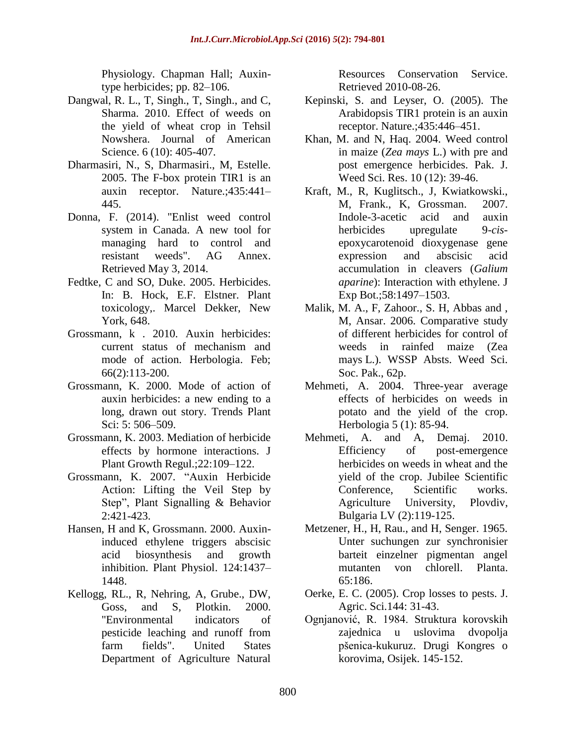Physiology. Chapman Hall; Auxintype herbicides; pp. 82–106.

- Dangwal, R. L., T, Singh., T, Singh., and C, Sharma. 2010. Effect of weeds on the yield of wheat crop in Tehsil Nowshera. Journal of American Science. 6 (10): 405-407.
- Dharmasiri, N., S, Dharmasiri., M, Estelle. 2005. The F-box protein TIR1 is an auxin receptor. Nature.;435:441– 445.
- Donna, F. (2014). ["Enlist weed control](http://www.agannex.com/energy/enlist-weed-control-system-in-canada)  [system in Canada. A new tool for](http://www.agannex.com/energy/enlist-weed-control-system-in-canada)  [managing hard to control and](http://www.agannex.com/energy/enlist-weed-control-system-in-canada)  [resistant weeds".](http://www.agannex.com/energy/enlist-weed-control-system-in-canada) AG Annex. Retrieved May 3, 2014.
- Fedtke, C and SO, Duke. 2005. Herbicides. In: B. Hock, E.F. Elstner. Plant toxicology,. Marcel Dekker, New York, 648.
- Grossmann, k . 2010. Auxin herbicides: current status of mechanism and mode of action. Herbologia. Feb; 66(2):113-200.
- Grossmann, K. 2000. Mode of action of auxin herbicides: a new ending to a long, drawn out story. Trends Plant Sci: 5: 506–509.
- Grossmann, K. 2003. Mediation of herbicide effects by hormone interactions. J Plant Growth Regul.;22:109–122.
- Grossmann, K. 2007. "Auxin Herbicide Action: Lifting the Veil Step by Step", Plant Signalling & Behavior 2:421-423.
- Hansen, H and K, Grossmann. 2000. Auxininduced ethylene triggers abscisic acid biosynthesis and growth inhibition. Plant Physiol. 124:1437– 1448.
- Kellogg, RL., R, Nehring, A, Grube., DW, Goss, and S, Plotkin. 2000. ["Environmental indicators of](http://www.nrcs.usda.gov/technical/NRI/pubs/eip_pap.html)  [pesticide leaching and runoff from](http://www.nrcs.usda.gov/technical/NRI/pubs/eip_pap.html)  [farm fields".](http://www.nrcs.usda.gov/technical/NRI/pubs/eip_pap.html) United States Department of Agriculture Natural

Resources Conservation Service. Retrieved 2010-08-26.

- Kepinski, S. and Leyser, O. (2005). The Arabidopsis TIR1 protein is an auxin receptor. Nature.;435:446–451.
- Khan, M. and N, Haq. 2004. Weed control in maize (*Zea mays* L.) with pre and post emergence herbicides. Pak. J. Weed Sci. Res. 10 (12): 39-46.
- Kraft, M., R, Kuglitsch., J, Kwiatkowski., M, Frank., K, Grossman. 2007. Indole-3-acetic acid and auxin herbicides upregulate 9-*cis*epoxycarotenoid dioxygenase gene expression and abscisic acid accumulation in cleavers (*Galium aparine*): Interaction with ethylene. J Exp Bot.;58:1497–1503.
- Malik, M. A., F, Zahoor., S. H, Abbas and , M, Ansar. 2006. Comparative study of different herbicides for control of weeds in rainfed maize (Zea mays L.). WSSP Absts. Weed Sci. Soc. Pak., 62p.
- Mehmeti, A. 2004. Three-year average effects of herbicides on weeds in potato and the yield of the crop. Herbologia 5 (1): 85-94.
- Mehmeti, A. and A, Demaj. 2010. Efficiency of post-emergence herbicides on weeds in wheat and the yield of the crop. Jubilee Scientific Conference, Scientific works. Agriculture University, Plovdiv, Bulgaria LV (2):119-125.
- Metzener, H., H, Rau., and H, Senger. 1965. Unter suchungen zur synchronisier barteit einzelner pigmentan angel mutanten von chlorell. Planta. 65:186.
- Oerke, E. C. (2005). Crop losses to pests. J. Agric. Sci.144: 31-43.
- Ognjanović, R. 1984. Struktura korovskih zajednica u uslovima dvopolja pšenica-kukuruz. Drugi Kongres o korovima, Osijek. 145-152.